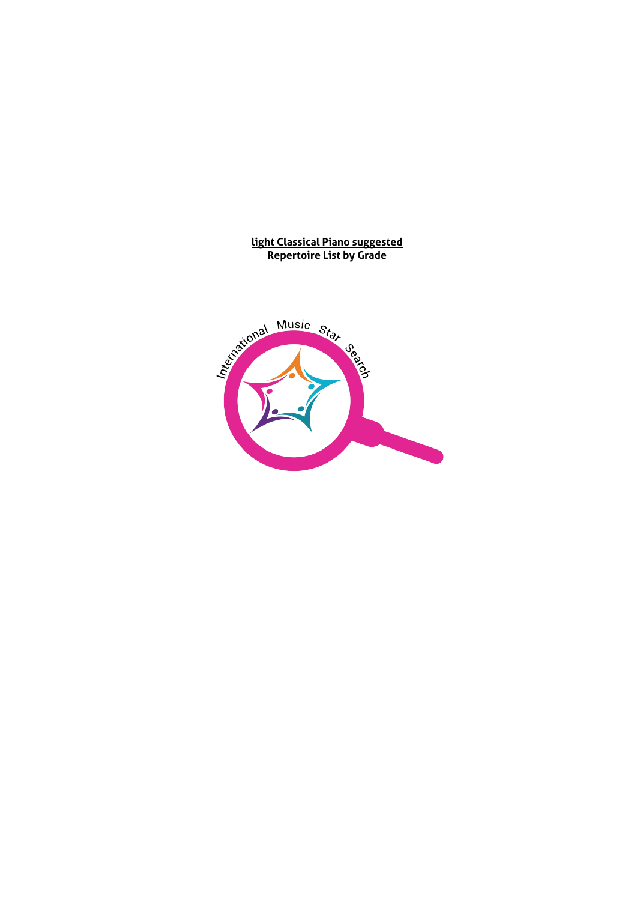#### **light Classical Piano suggested Repertoire List by Grade**

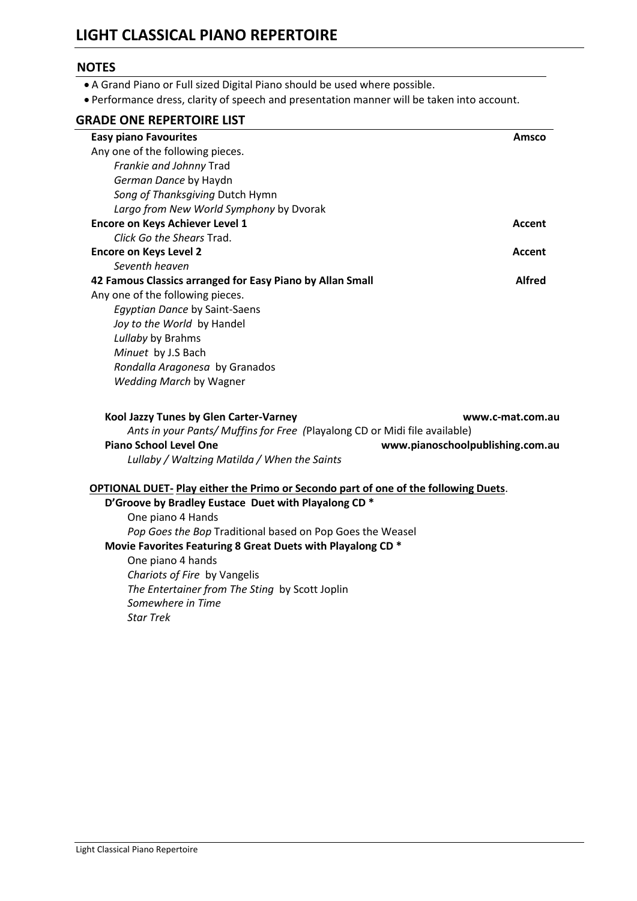# **LIGHT CLASSICAL PIANO REPERTOIRE**

#### **NOTES**

- A Grand Piano or Full sized Digital Piano should be used where possible.
- Performance dress, clarity of speech and presentation manner will be taken into account.

# **GRADE ONE REPERTOIRE LIST**

| <b>Easy piano Favourites</b>                                                              | Amsco                            |
|-------------------------------------------------------------------------------------------|----------------------------------|
| Any one of the following pieces.                                                          |                                  |
| Frankie and Johnny Trad                                                                   |                                  |
| German Dance by Haydn                                                                     |                                  |
| Song of Thanksgiving Dutch Hymn                                                           |                                  |
| Largo from New World Symphony by Dvorak                                                   |                                  |
| <b>Encore on Keys Achiever Level 1</b>                                                    | Accent                           |
| Click Go the Shears Trad.                                                                 |                                  |
| <b>Encore on Keys Level 2</b>                                                             | Accent                           |
| Seventh heaven                                                                            |                                  |
| 42 Famous Classics arranged for Easy Piano by Allan Small                                 | <b>Alfred</b>                    |
| Any one of the following pieces.                                                          |                                  |
| <b>Egyptian Dance by Saint-Saens</b>                                                      |                                  |
| Joy to the World by Handel                                                                |                                  |
| Lullaby by Brahms                                                                         |                                  |
| Minuet by J.S Bach                                                                        |                                  |
| Rondalla Aragonesa by Granados                                                            |                                  |
| Wedding March by Wagner                                                                   |                                  |
| Kool Jazzy Tunes by Glen Carter-Varney                                                    | www.c-mat.com.au                 |
| Ants in your Pants/ Muffins for Free (Playalong CD or Midi file available)                |                                  |
| <b>Piano School Level One</b>                                                             | www.pianoschoolpublishing.com.au |
| Lullaby / Waltzing Matilda / When the Saints                                              |                                  |
| <b>OPTIONAL DUET-Play either the Primo or Secondo part of one of the following Duets.</b> |                                  |
| D'Groove by Bradley Eustace Duet with Playalong CD *                                      |                                  |
| One piano 4 Hands                                                                         |                                  |
| Pop Goes the Bop Traditional based on Pop Goes the Weasel                                 |                                  |
| Movie Favorites Featuring 8 Great Duets with Playalong CD *                               |                                  |
| One piano 4 hands                                                                         |                                  |
| Chariots of Fire by Vangelis                                                              |                                  |
| The Entertainer from The Sting by Scott Joplin                                            |                                  |
| Somewhere in Time                                                                         |                                  |
| <b>Star Trek</b>                                                                          |                                  |
|                                                                                           |                                  |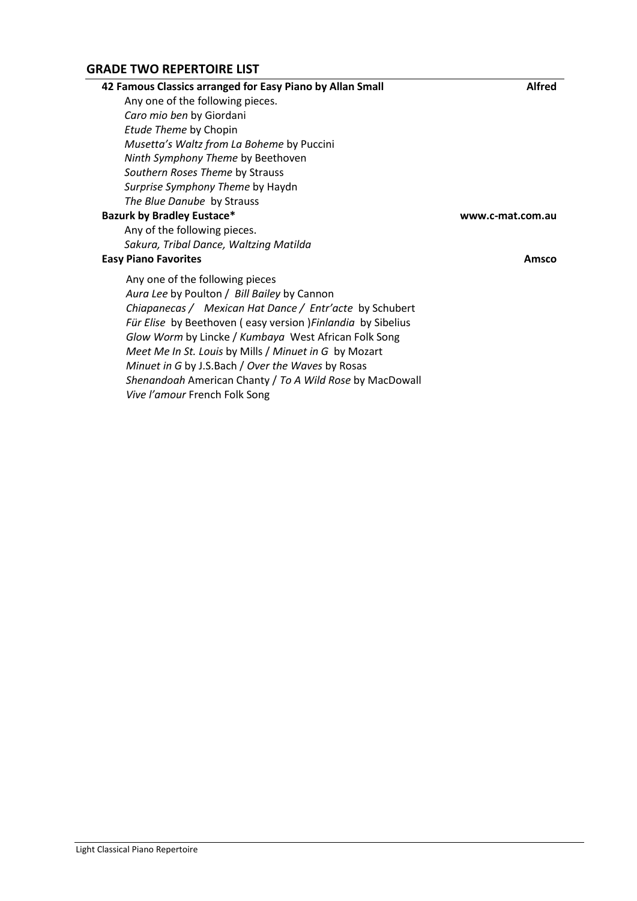#### **GRADE TWO REPERTOIRE LIST**

| 42 Famous Classics arranged for Easy Piano by Allan Small    | <b>Alfred</b>    |
|--------------------------------------------------------------|------------------|
| Any one of the following pieces.                             |                  |
| Caro mio ben by Giordani                                     |                  |
| Etude Theme by Chopin                                        |                  |
| Musetta's Waltz from La Boheme by Puccini                    |                  |
| Ninth Symphony Theme by Beethoven                            |                  |
| Southern Roses Theme by Strauss                              |                  |
| Surprise Symphony Theme by Haydn                             |                  |
| The Blue Danube by Strauss                                   |                  |
| <b>Bazurk by Bradley Eustace*</b>                            | www.c-mat.com.au |
| Any of the following pieces.                                 |                  |
| Sakura, Tribal Dance, Waltzing Matilda                       |                  |
| <b>Easy Piano Favorites</b>                                  | Amsco            |
| Any one of the following pieces                              |                  |
| Aura Lee by Poulton / Bill Bailey by Cannon                  |                  |
| Chiapanecas / Mexican Hat Dance / Entr'acte by Schubert      |                  |
| Für Elise by Beethoven (easy version ) Finlandia by Sibelius |                  |

*Glow Worm* by Lincke / *Kumbaya* West African Folk Song *Meet Me In St. Louis* by Mills / *Minuet in G* by Mozart *Minuet in G* by J.S.Bach / *Over the Waves* by Rosas

*Vive l'amour* French Folk Song

*Shenandoah* American Chanty / *To A Wild Rose* by MacDowall

Light Classical Piano Repertoire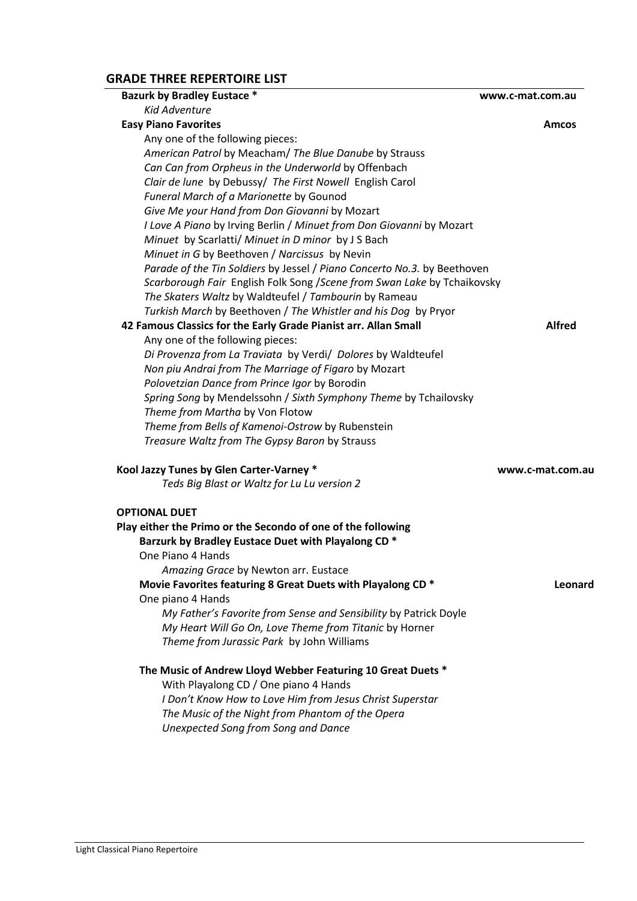# **GRADE THREE REPERTOIRE LIST**

| <b>Bazurk by Bradley Eustace *</b>                                       | www.c-mat.com.au |
|--------------------------------------------------------------------------|------------------|
| <b>Kid Adventure</b>                                                     |                  |
| <b>Easy Piano Favorites</b>                                              | Amcos            |
| Any one of the following pieces:                                         |                  |
| American Patrol by Meacham/ The Blue Danube by Strauss                   |                  |
| Can Can from Orpheus in the Underworld by Offenbach                      |                  |
| Clair de lune by Debussy/ The First Nowell English Carol                 |                  |
| Funeral March of a Marionette by Gounod                                  |                  |
| Give Me your Hand from Don Giovanni by Mozart                            |                  |
| I Love A Piano by Irving Berlin / Minuet from Don Giovanni by Mozart     |                  |
| Minuet by Scarlatti/ Minuet in D minor by J S Bach                       |                  |
| Minuet in G by Beethoven / Narcissus by Nevin                            |                  |
| Parade of the Tin Soldiers by Jessel / Piano Concerto No.3. by Beethoven |                  |
| Scarborough Fair English Folk Song / Scene from Swan Lake by Tchaikovsky |                  |
| The Skaters Waltz by Waldteufel / Tambourin by Rameau                    |                  |
| Turkish March by Beethoven / The Whistler and his Dog by Pryor           |                  |
| 42 Famous Classics for the Early Grade Pianist arr. Allan Small          | <b>Alfred</b>    |
| Any one of the following pieces:                                         |                  |
| Di Provenza from La Traviata by Verdi/ Dolores by Waldteufel             |                  |
| Non piu Andrai from The Marriage of Figaro by Mozart                     |                  |
| Polovetzian Dance from Prince Igor by Borodin                            |                  |
| Spring Song by Mendelssohn / Sixth Symphony Theme by Tchailovsky         |                  |
| Theme from Martha by Von Flotow                                          |                  |
| Theme from Bells of Kamenoi-Ostrow by Rubenstein                         |                  |
| Treasure Waltz from The Gypsy Baron by Strauss                           |                  |
| Kool Jazzy Tunes by Glen Carter-Varney *                                 | www.c-mat.com.au |
| Teds Big Blast or Waltz for Lu Lu version 2                              |                  |
|                                                                          |                  |
| <b>OPTIONAL DUET</b>                                                     |                  |
| Play either the Primo or the Secondo of one of the following             |                  |
| Barzurk by Bradley Eustace Duet with Playalong CD *                      |                  |
| One Piano 4 Hands                                                        |                  |
| Amazing Grace by Newton arr. Eustace                                     |                  |
| Movie Favorites featuring 8 Great Duets with Playalong CD *              | Leonard          |
| One piano 4 Hands                                                        |                  |
| My Father's Favorite from Sense and Sensibility by Patrick Doyle         |                  |
| My Heart Will Go On, Love Theme from Titanic by Horner                   |                  |
| Theme from Jurassic Park by John Williams                                |                  |
| The Music of Andrew Lloyd Webber Featuring 10 Great Duets *              |                  |
| With Playalong CD / One piano 4 Hands                                    |                  |
| I Don't Know How to Love Him from Jesus Christ Superstar                 |                  |
| The Music of the Night from Phantom of the Opera                         |                  |
| <b>Unexpected Song from Song and Dance</b>                               |                  |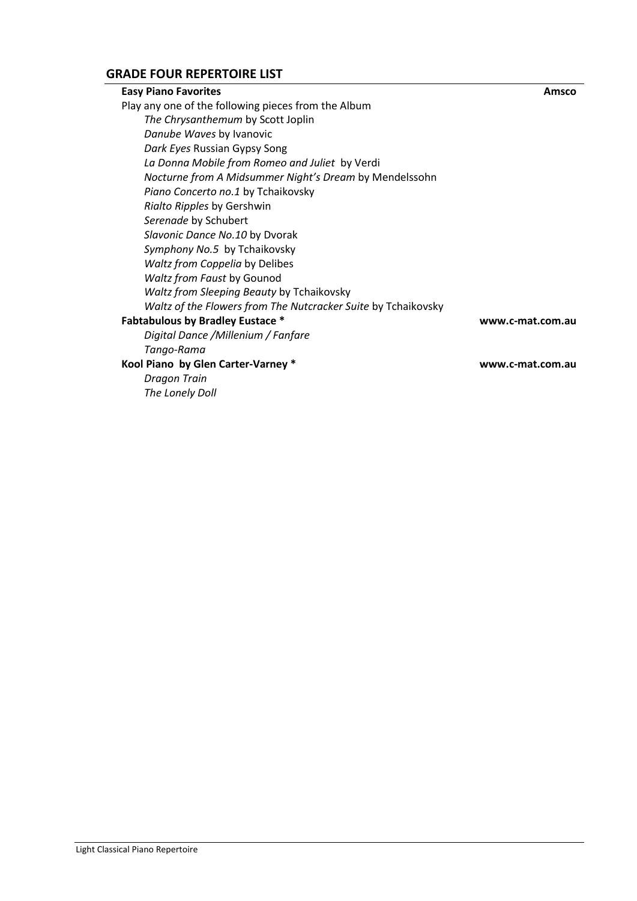# **GRADE FOUR REPERTOIRE LIST**

| <b>Easy Piano Favorites</b>                                   | Amsco            |
|---------------------------------------------------------------|------------------|
| Play any one of the following pieces from the Album           |                  |
| The Chrysanthemum by Scott Joplin                             |                  |
| Danube Waves by Ivanovic                                      |                  |
| Dark Eyes Russian Gypsy Song                                  |                  |
| La Donna Mobile from Romeo and Juliet by Verdi                |                  |
| Nocturne from A Midsummer Night's Dream by Mendelssohn        |                  |
| Piano Concerto no.1 by Tchaikovsky                            |                  |
| Rialto Ripples by Gershwin                                    |                  |
| Serenade by Schubert                                          |                  |
| Slavonic Dance No.10 by Dvorak                                |                  |
| Symphony No.5 by Tchaikovsky                                  |                  |
| Waltz from Coppelia by Delibes                                |                  |
| Waltz from Faust by Gounod                                    |                  |
| Waltz from Sleeping Beauty by Tchaikovsky                     |                  |
| Waltz of the Flowers from The Nutcracker Suite by Tchaikovsky |                  |
| <b>Fabtabulous by Bradley Eustace *</b>                       | www.c-mat.com.au |
| Digital Dance /Millenium / Fanfare                            |                  |
| Tango-Rama                                                    |                  |
| Kool Piano by Glen Carter-Varney *                            | www.c-mat.com.au |
| Dragon Train                                                  |                  |
| The Lonely Doll                                               |                  |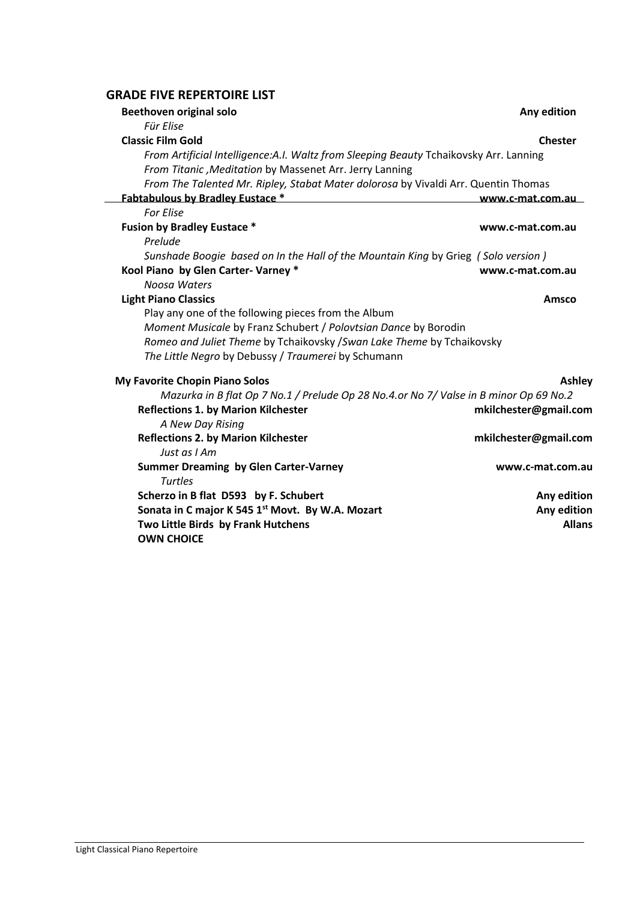### **GRADE FIVE REPERTOIRE LIST**

| <b>Beethoven original solo</b>                                                         | Any edition           |
|----------------------------------------------------------------------------------------|-----------------------|
| Für Elise                                                                              |                       |
| <b>Classic Film Gold</b>                                                               | <b>Chester</b>        |
| From Artificial Intelligence: A.I. Waltz from Sleeping Beauty Tchaikovsky Arr. Lanning |                       |
| From Titanic, Meditation by Massenet Arr. Jerry Lanning                                |                       |
| From The Talented Mr. Ripley, Stabat Mater dolorosa by Vivaldi Arr. Quentin Thomas     |                       |
| Fabtabulous by Bradley Eustace *                                                       | www.c-mat.com.au      |
| <b>For Elise</b>                                                                       |                       |
| <b>Fusion by Bradley Eustace *</b>                                                     | www.c-mat.com.au      |
| Prelude                                                                                |                       |
| Sunshade Boogie based on In the Hall of the Mountain King by Grieg (Solo version)      |                       |
| Kool Piano by Glen Carter- Varney *                                                    | www.c-mat.com.au      |
| Noosa Waters                                                                           |                       |
| <b>Light Piano Classics</b>                                                            | Amsco                 |
| Play any one of the following pieces from the Album                                    |                       |
| Moment Musicale by Franz Schubert / Polovtsian Dance by Borodin                        |                       |
| Romeo and Juliet Theme by Tchaikovsky / Swan Lake Theme by Tchaikovsky                 |                       |
| The Little Negro by Debussy / Traumerei by Schumann                                    |                       |
| My Favorite Chopin Piano Solos                                                         | Ashley                |
| Mazurka in B flat Op 7 No.1 / Prelude Op 28 No.4.or No 7/ Valse in B minor Op 69 No.2  |                       |
| <b>Reflections 1. by Marion Kilchester</b>                                             | mkilchester@gmail.com |
| A New Day Rising                                                                       |                       |
| <b>Reflections 2. by Marion Kilchester</b>                                             | mkilchester@gmail.com |
| Just as I Am                                                                           |                       |
| <b>Summer Dreaming by Glen Carter-Varney</b>                                           | www.c-mat.com.au      |
| <b>Turtles</b>                                                                         |                       |
| Scherzo in B flat D593 by F. Schubert                                                  | Any edition           |
| Sonata in C major K 545 1st Movt. By W.A. Mozart                                       | Any edition           |
| Two Little Birds by Frank Hutchens                                                     | <b>Allans</b>         |
| <b>OWN CHOICE</b>                                                                      |                       |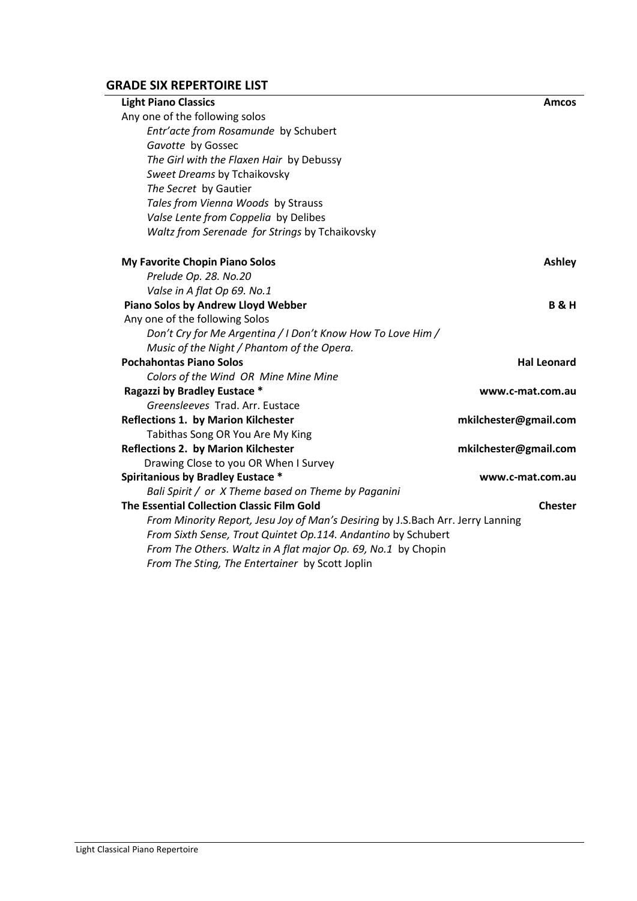# **GRADE SIX REPERTOIRE LIST**

| <b>Light Piano Classics</b>                                                     | <b>Amcos</b>          |
|---------------------------------------------------------------------------------|-----------------------|
| Any one of the following solos                                                  |                       |
| Entr'acte from Rosamunde by Schubert                                            |                       |
| Gavotte by Gossec                                                               |                       |
| The Girl with the Flaxen Hair by Debussy                                        |                       |
| Sweet Dreams by Tchaikovsky                                                     |                       |
| The Secret by Gautier                                                           |                       |
| Tales from Vienna Woods by Strauss                                              |                       |
| Valse Lente from Coppelia by Delibes                                            |                       |
| Waltz from Serenade for Strings by Tchaikovsky                                  |                       |
| My Favorite Chopin Piano Solos                                                  | <b>Ashley</b>         |
| Prelude Op. 28. No.20                                                           |                       |
| Valse in A flat Op 69. No.1                                                     |                       |
| Piano Solos by Andrew Lloyd Webber                                              | <b>B&amp;H</b>        |
| Any one of the following Solos                                                  |                       |
| Don't Cry for Me Argentina / I Don't Know How To Love Him /                     |                       |
| Music of the Night / Phantom of the Opera.                                      |                       |
| <b>Pochahontas Piano Solos</b>                                                  | <b>Hal Leonard</b>    |
| Colors of the Wind OR Mine Mine Mine                                            |                       |
| Ragazzi by Bradley Eustace *                                                    | www.c-mat.com.au      |
| Greensleeves Trad. Arr. Eustace                                                 |                       |
| <b>Reflections 1. by Marion Kilchester</b>                                      | mkilchester@gmail.com |
| Tabithas Song OR You Are My King                                                |                       |
| <b>Reflections 2. by Marion Kilchester</b>                                      | mkilchester@gmail.com |
| Drawing Close to you OR When I Survey                                           |                       |
| <b>Spiritanious by Bradley Eustace *</b>                                        | www.c-mat.com.au      |
| Bali Spirit / or X Theme based on Theme by Paganini                             |                       |
| The Essential Collection Classic Film Gold                                      | <b>Chester</b>        |
| From Minority Report, Jesu Joy of Man's Desiring by J.S.Bach Arr. Jerry Lanning |                       |
| From Sixth Sense, Trout Quintet Op.114. Andantino by Schubert                   |                       |
| From The Others. Waltz in A flat major Op. 69, No.1 by Chopin                   |                       |
| From The Sting, The Entertainer by Scott Joplin                                 |                       |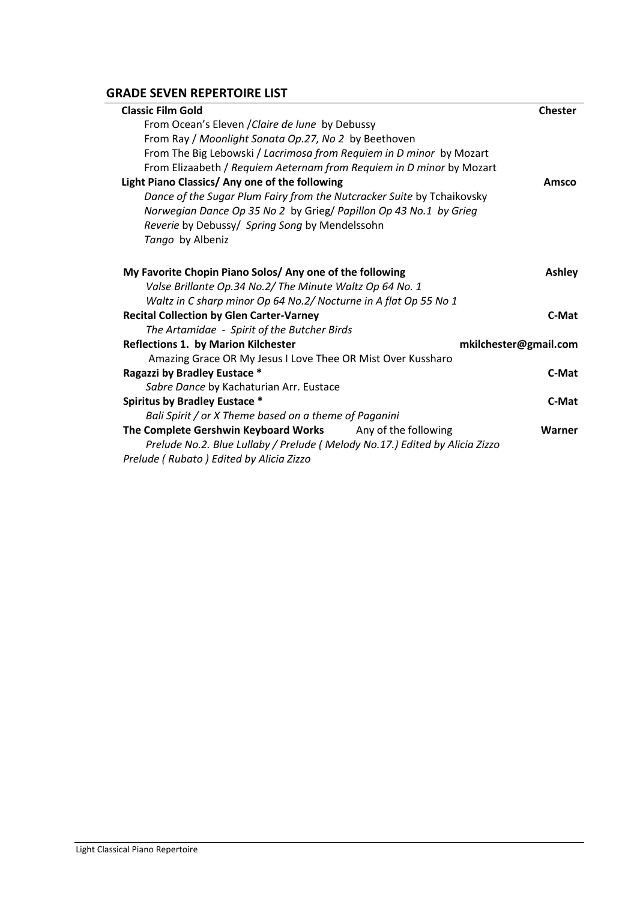# **GRADE SEVEN REPERTOIRE LIST**

| <b>Classic Film Gold</b>                                                    | <b>Chester</b> |
|-----------------------------------------------------------------------------|----------------|
| From Ocean's Eleven / Claire de lune by Debussy                             |                |
| From Ray / Moonlight Sonata Op.27, No 2 by Beethoven                        |                |
| From The Big Lebowski / Lacrimosa from Requiem in D minor by Mozart         |                |
| From Elizaabeth / Requiem Aeternam from Requiem in D minor by Mozart        |                |
| Light Piano Classics/ Any one of the following                              | Amsco          |
| Dance of the Sugar Plum Fairy from the Nutcracker Suite by Tchaikovsky      |                |
| Norwegian Dance Op 35 No 2 by Grieg/ Papillon Op 43 No.1 by Grieg           |                |
| Reverie by Debussy/ Spring Song by Mendelssohn                              |                |
| Tango by Albeniz                                                            |                |
|                                                                             |                |
| My Favorite Chopin Piano Solos/ Any one of the following                    | <b>Ashley</b>  |
| Valse Brillante Op.34 No.2/ The Minute Waltz Op 64 No. 1                    |                |
| Waltz in C sharp minor Op 64 No.2/ Nocturne in A flat Op 55 No 1            |                |
| <b>Recital Collection by Glen Carter-Varney</b>                             | C-Mat          |
| The Artamidae - Spirit of the Butcher Birds                                 |                |
| <b>Reflections 1. by Marion Kilchester</b><br>mkilchester@gmail.com         |                |
| Amazing Grace OR My Jesus I Love Thee OR Mist Over Kussharo                 |                |
| Ragazzi by Bradley Eustace *                                                | C-Mat          |
| Sabre Dance by Kachaturian Arr. Eustace                                     |                |
| <b>Spiritus by Bradley Eustace *</b>                                        | C-Mat          |
| Bali Spirit / or X Theme based on a theme of Paganini                       |                |
| The Complete Gershwin Keyboard Works Any of the following                   | Warner         |
| Prelude No.2. Blue Lullaby / Prelude (Melody No.17.) Edited by Alicia Zizzo |                |
| Prelude (Rubato) Edited by Alicia Zizzo                                     |                |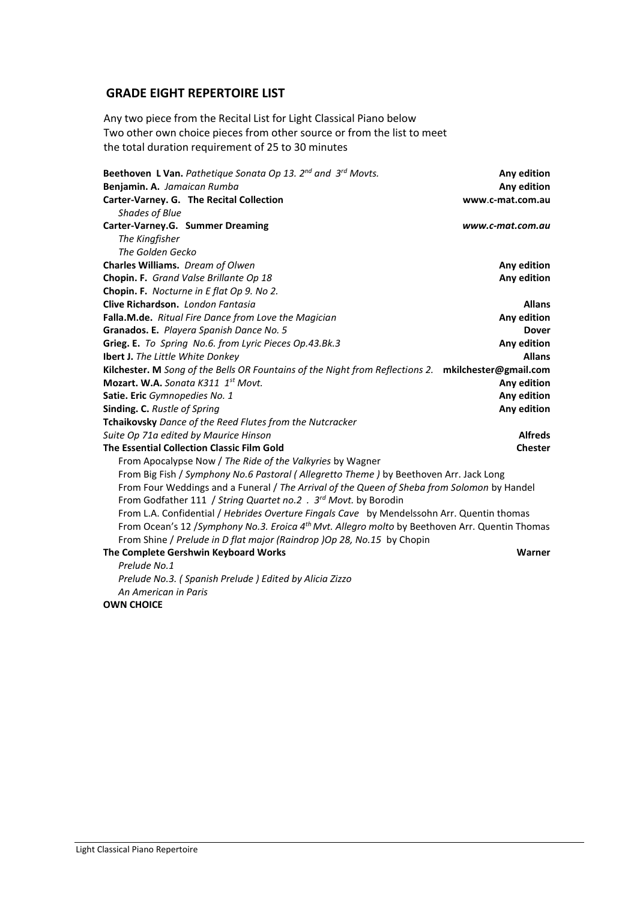### **GRADE EIGHT REPERTOIRE LIST**

Any two piece from the Recital List for Light Classical Piano below Two other own choice pieces from other source or from the list to meet the total duration requirement of 25 to 30 minutes

| <b>Beethoven L Van.</b> Pathetique Sonata Op 13. $2^{nd}$ and $3^{rd}$ Movts.                               | Any edition      |
|-------------------------------------------------------------------------------------------------------------|------------------|
| Benjamin. A. Jamaican Rumba                                                                                 | Any edition      |
| Carter-Varney. G. The Recital Collection                                                                    | www.c-mat.com.au |
| <b>Shades of Blue</b>                                                                                       |                  |
| Carter-Varney.G. Summer Dreaming                                                                            | www.c-mat.com.au |
| The Kingfisher                                                                                              |                  |
| The Golden Gecko                                                                                            |                  |
| Charles Williams. Dream of Olwen                                                                            | Any edition      |
| Chopin. F. Grand Valse Brillante Op 18                                                                      | Any edition      |
| Chopin. F. Nocturne in E flat Op 9. No 2.                                                                   |                  |
| Clive Richardson. London Fantasia                                                                           | <b>Allans</b>    |
| Falla.M.de. Ritual Fire Dance from Love the Magician                                                        | Any edition      |
| Granados. E. Playera Spanish Dance No. 5                                                                    | <b>Dover</b>     |
| Grieg. E. To Spring No.6. from Lyric Pieces Op.43.Bk.3                                                      | Any edition      |
| <b>Ibert J.</b> The Little White Donkey                                                                     | <b>Allans</b>    |
| Kilchester. M Song of the Bells OR Fountains of the Night from Reflections 2. mkilchester@gmail.com         |                  |
| Mozart. W.A. Songta K311 1st Movt.                                                                          | Any edition      |
| Satie. Eric Gymnopedies No. 1                                                                               | Any edition      |
| Sinding. C. Rustle of Spring                                                                                | Any edition      |
| Tchaikovsky Dance of the Reed Flutes from the Nutcracker                                                    |                  |
| Suite Op 71a edited by Maurice Hinson                                                                       | <b>Alfreds</b>   |
| The Essential Collection Classic Film Gold                                                                  | <b>Chester</b>   |
| From Apocalypse Now / The Ride of the Valkyries by Wagner                                                   |                  |
| From Big Fish / Symphony No.6 Pastoral (Allegretto Theme) by Beethoven Arr. Jack Long                       |                  |
| From Four Weddings and a Funeral / The Arrival of the Queen of Sheba from Solomon by Handel                 |                  |
| From Godfather 111 / String Quartet no.2 . 3 <sup>rd</sup> Movt. by Borodin                                 |                  |
| From L.A. Confidential / Hebrides Overture Fingals Cave by Mendelssohn Arr. Quentin thomas                  |                  |
| From Ocean's 12 / Symphony No.3. Eroica 4 <sup>th</sup> Mvt. Allegro molto by Beethoven Arr. Quentin Thomas |                  |
| From Shine / Prelude in D flat major (Raindrop )Op 28, No.15 by Chopin                                      |                  |
| The Complete Gershwin Keyboard Works                                                                        | Warner           |
| Prelude No.1                                                                                                |                  |
| Prelude No.3. (Spanish Prelude) Edited by Alicia Zizzo                                                      |                  |
| An American in Paris                                                                                        |                  |
| <b>OWN CHOICE</b>                                                                                           |                  |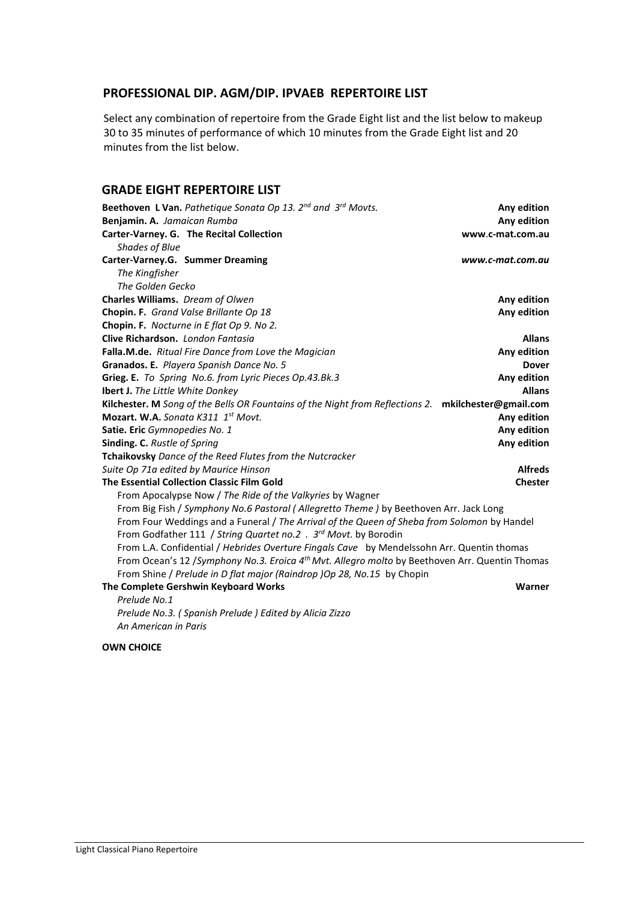## **PROFESSIONAL DIP. AGM/DIP. IPVAEB REPERTOIRE LIST**

Select any combination of repertoire from the Grade Eight list and the list below to makeup 30 to 35 minutes of performance of which 10 minutes from the Grade Eight list and 20 minutes from the list below.

#### **GRADE EIGHT REPERTOIRE LIST**

| Beethoven L Van. Pathetique Sonata Op 13. 2nd and 3rd Movts.                                                | Any edition      |
|-------------------------------------------------------------------------------------------------------------|------------------|
| Benjamin. A. Jamaican Rumba                                                                                 | Any edition      |
| Carter-Varney. G. The Recital Collection                                                                    | www.c-mat.com.au |
| <b>Shades of Blue</b>                                                                                       |                  |
| Carter-Varney.G. Summer Dreaming                                                                            | www.c-mat.com.au |
| The Kingfisher                                                                                              |                  |
| The Golden Gecko                                                                                            |                  |
| Charles Williams. Dream of Olwen                                                                            | Any edition      |
| Chopin. F. Grand Valse Brillante Op 18                                                                      | Any edition      |
| Chopin. F. Nocturne in E flat Op 9. No 2.                                                                   |                  |
| Clive Richardson, London Fantasia                                                                           | <b>Allans</b>    |
| Falla.M.de. Ritual Fire Dance from Love the Magician                                                        | Any edition      |
| Granados. E. Playera Spanish Dance No. 5                                                                    | <b>Dover</b>     |
| Grieg. E. To Spring No.6. from Lyric Pieces Op.43.Bk.3                                                      | Any edition      |
| Ibert J. The Little White Donkey                                                                            | <b>Allans</b>    |
| Kilchester. M Song of the Bells OR Fountains of the Night from Reflections 2. mkilchester@gmail.com         |                  |
| Mozart. W.A. Songta K311 1st Movt.                                                                          | Any edition      |
| Satie. Eric Gymnopedies No. 1                                                                               | Any edition      |
| <b>Sinding. C.</b> Rustle of Spring                                                                         | Any edition      |
| Tchaikovsky Dance of the Reed Flutes from the Nutcracker                                                    |                  |
| Suite Op 71a edited by Maurice Hinson                                                                       | <b>Alfreds</b>   |
| The Essential Collection Classic Film Gold                                                                  | <b>Chester</b>   |
| From Apocalypse Now / The Ride of the Valkyries by Wagner                                                   |                  |
| From Big Fish / Symphony No.6 Pastoral (Allegretto Theme) by Beethoven Arr. Jack Long                       |                  |
| From Four Weddings and a Funeral / The Arrival of the Queen of Sheba from Solomon by Handel                 |                  |
| From Godfather 111 / String Quartet no.2 . 3rd Movt. by Borodin                                             |                  |
| From L.A. Confidential / Hebrides Overture Fingals Cave by Mendelssohn Arr. Quentin thomas                  |                  |
| From Ocean's 12 / Symphony No.3. Eroica 4 <sup>th</sup> Mvt. Allegro molto by Beethoven Arr. Quentin Thomas |                  |
| From Shine / Prelude in D flat major (Raindrop )Op 28, No.15 by Chopin                                      |                  |
| The Complete Gershwin Keyboard Works                                                                        | Warner           |
| Prelude No.1                                                                                                |                  |
| Prelude No.3. (Spanish Prelude) Edited by Alicia Zizzo                                                      |                  |
| An American in Paris                                                                                        |                  |

#### **OWN CHOICE**